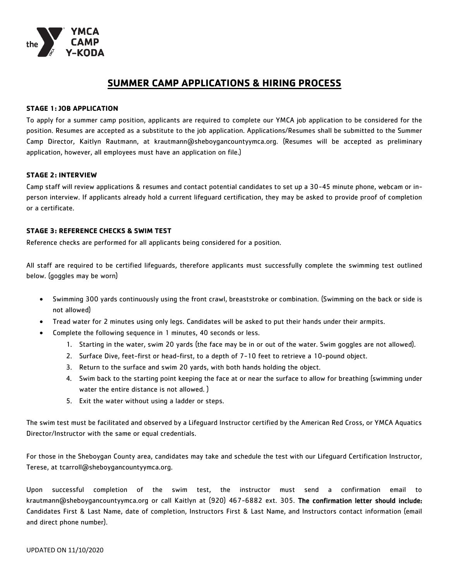

# **SUMMER CAMP APPLICATIONS & HIRING PROCESS**

### **STAGE 1: JOB APPLICATION**

To apply for a summer camp position, applicants are required to complete our YMCA job application to be considered for the position. Resumes are accepted as a substitute to the job application. Applications/Resumes shall be submitted to the Summer Camp Director, Kaitlyn Rautmann, at krautmann@sheboygancountyymca.org. (Resumes will be accepted as preliminary application, however, all employees must have an application on file.)

#### **STAGE 2: INTERVIEW**

Camp staff will review applications & resumes and contact potential candidates to set up a 30-45 minute phone, webcam or inperson interview. If applicants already hold a current lifeguard certification, they may be asked to provide proof of completion or a certificate.

#### **STAGE 3: REFERENCE CHECKS & SWIM TEST**

Reference checks are performed for all applicants being considered for a position.

All staff are required to be certified lifeguards, therefore applicants must successfully complete the swimming test outlined below. (goggles may be worn)

- Swimming 300 yards continuously using the front crawl, breaststroke or combination. (Swimming on the back or side is not allowed)
- Tread water for 2 minutes using only legs. Candidates will be asked to put their hands under their armpits.
- Complete the following sequence in 1 minutes, 40 seconds or less.
	- 1. Starting in the water, swim 20 yards (the face may be in or out of the water. Swim goggles are not allowed).
	- 2. Surface Dive, feet-first or head-first, to a depth of 7-10 feet to retrieve a 10-pound object.
	- 3. Return to the surface and swim 20 yards, with both hands holding the object.
	- 4. Swim back to the starting point keeping the face at or near the surface to allow for breathing (swimming under water the entire distance is not allowed. )
	- 5. Exit the water without using a ladder or steps.

The swim test must be facilitated and observed by a Lifeguard Instructor certified by the American Red Cross, or YMCA Aquatics Director/Instructor with the same or equal credentials.

For those in the Sheboygan County area, candidates may take and schedule the test with our Lifeguard Certification Instructor, Terese, at tcarroll@sheboygancountyymca.org.

Upon successful completion of the swim test, the instructor must send a confirmation email to krautmann@sheboygancountyymca.org or call Kaitlyn at (920) 467-6882 ext. 305. The confirmation letter should include: Candidates First & Last Name, date of completion, Instructors First & Last Name, and Instructors contact information (email and direct phone number).